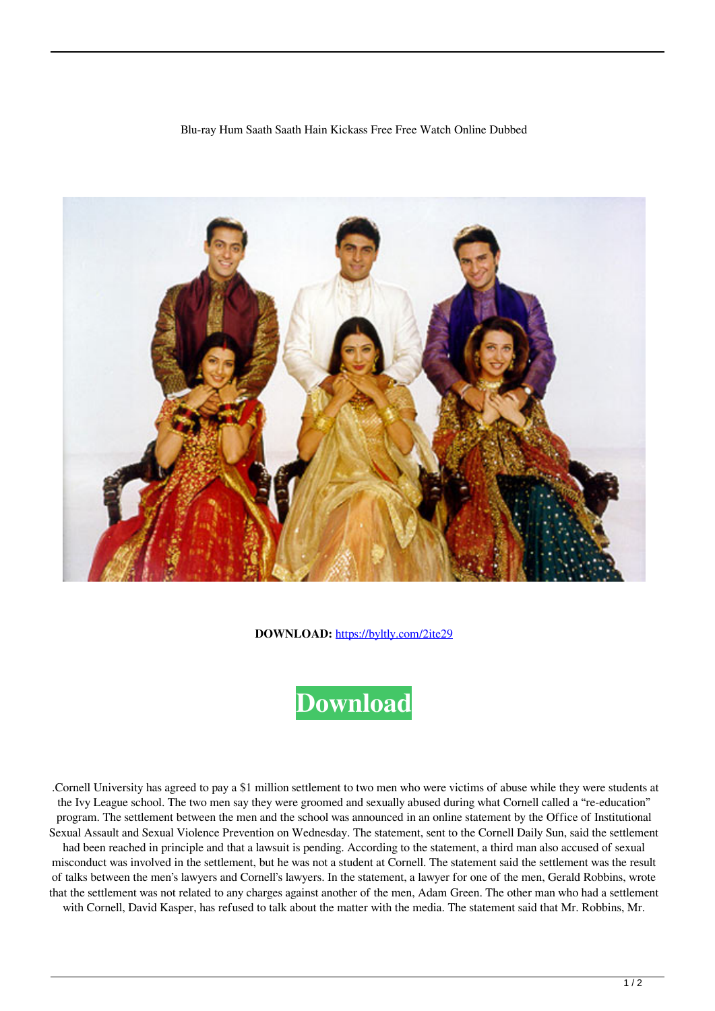## Blu-ray Hum Saath Saath Hain Kickass Free Free Watch Online Dubbed



**DOWNLOAD:** <https://byltly.com/2ite29>

## **[Download](https://byltly.com/2ite29)**

 .Cornell University has agreed to pay a \$1 million settlement to two men who were victims of abuse while they were students at the Ivy League school. The two men say they were groomed and sexually abused during what Cornell called a "re-education" program. The settlement between the men and the school was announced in an online statement by the Office of Institutional Sexual Assault and Sexual Violence Prevention on Wednesday. The statement, sent to the Cornell Daily Sun, said the settlement

had been reached in principle and that a lawsuit is pending. According to the statement, a third man also accused of sexual misconduct was involved in the settlement, but he was not a student at Cornell. The statement said the settlement was the result of talks between the men's lawyers and Cornell's lawyers. In the statement, a lawyer for one of the men, Gerald Robbins, wrote that the settlement was not related to any charges against another of the men, Adam Green. The other man who had a settlement with Cornell, David Kasper, has refused to talk about the matter with the media. The statement said that Mr. Robbins, Mr.